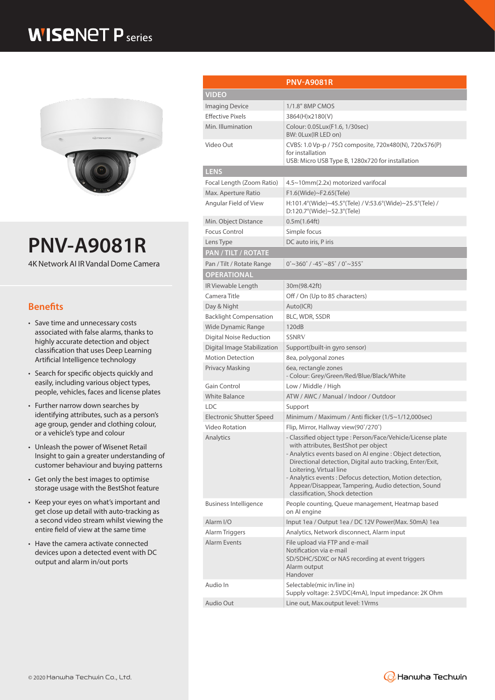## **WISENET P** series



# **PNV-A9081R**

4K Network AI IR Vandal Dome Camera

### **Benefits**

- Save time and unnecessary costs associated with false alarms, thanks to highly accurate detection and object classification that uses Deep Learning Artificial Intelligence technology
- Search for specific objects quickly and easily, including various object types, people, vehicles, faces and license plates
- Further narrow down searches by identifying attributes, such as a person's age group, gender and clothing colour, or a vehicle's type and colour
- Unleash the power of Wisenet Retail Insight to gain a greater understanding of customer behaviour and buying patterns
- Get only the best images to optimise storage usage with the BestShot feature
- Keep your eyes on what's important and get close up detail with auto-tracking as a second video stream whilst viewing the entire field of view at the same time
- Have the camera activate connected devices upon a detected event with DC output and alarm in/out ports

|                                 | <b>PNV-A9081R</b>                                                                                                                                                                                                                                                                                                                                                                                               |  |
|---------------------------------|-----------------------------------------------------------------------------------------------------------------------------------------------------------------------------------------------------------------------------------------------------------------------------------------------------------------------------------------------------------------------------------------------------------------|--|
| <b>VIDEO</b>                    |                                                                                                                                                                                                                                                                                                                                                                                                                 |  |
|                                 |                                                                                                                                                                                                                                                                                                                                                                                                                 |  |
| <b>Imaging Device</b>           | 1/1.8" 8MP CMOS                                                                                                                                                                                                                                                                                                                                                                                                 |  |
| <b>Effective Pixels</b>         | 3864(H)x2180(V)                                                                                                                                                                                                                                                                                                                                                                                                 |  |
| Min. Illumination               | Colour: 0.05Lux(F1.6, 1/30sec)<br>BW: 0Lux(IR LED on)                                                                                                                                                                                                                                                                                                                                                           |  |
| Video Out                       | CVBS: 1.0 Vp-p / 75Ω composite, 720x480(N), 720x576(P)<br>for installation<br>USB: Micro USB Type B, 1280x720 for installation                                                                                                                                                                                                                                                                                  |  |
| <b>LENS</b>                     |                                                                                                                                                                                                                                                                                                                                                                                                                 |  |
| Focal Length (Zoom Ratio)       | 4.5~10mm(2.2x) motorized varifocal                                                                                                                                                                                                                                                                                                                                                                              |  |
| Max. Aperture Ratio             | F1.6(Wide)~F2.65(Tele)                                                                                                                                                                                                                                                                                                                                                                                          |  |
| Angular Field of View           | H:101.4°(Wide)~45.5°(Tele) / V:53.6°(Wide)~25.5°(Tele) /<br>$D:120.7^{\circ}$ (Wide)~52.3°(Tele)                                                                                                                                                                                                                                                                                                                |  |
| Min. Object Distance            | 0.5m(1.64ft)                                                                                                                                                                                                                                                                                                                                                                                                    |  |
| <b>Focus Control</b>            | Simple focus                                                                                                                                                                                                                                                                                                                                                                                                    |  |
| Lens Type                       | DC auto iris, P iris                                                                                                                                                                                                                                                                                                                                                                                            |  |
| PAN / TILT / ROTATE             |                                                                                                                                                                                                                                                                                                                                                                                                                 |  |
| Pan / Tilt / Rotate Range       | $0^{\circ}$ ~360 $^{\circ}$ / -45 $^{\circ}$ ~85 $^{\circ}$ / 0 $^{\circ}$ ~355 $^{\circ}$                                                                                                                                                                                                                                                                                                                      |  |
| <b>OPERATIONAL</b>              |                                                                                                                                                                                                                                                                                                                                                                                                                 |  |
| IR Viewable Length              | 30m(98.42ft)                                                                                                                                                                                                                                                                                                                                                                                                    |  |
| Camera Title                    | Off / On (Up to 85 characters)                                                                                                                                                                                                                                                                                                                                                                                  |  |
| Day & Night                     | Auto(ICR)                                                                                                                                                                                                                                                                                                                                                                                                       |  |
| <b>Backlight Compensation</b>   | BLC, WDR, SSDR                                                                                                                                                                                                                                                                                                                                                                                                  |  |
| Wide Dynamic Range              | 120dB                                                                                                                                                                                                                                                                                                                                                                                                           |  |
| Digital Noise Reduction         | <b>SSNRV</b>                                                                                                                                                                                                                                                                                                                                                                                                    |  |
| Digital Image Stabilization     | Support(built-in gyro sensor)                                                                                                                                                                                                                                                                                                                                                                                   |  |
| <b>Motion Detection</b>         | 8ea, polygonal zones                                                                                                                                                                                                                                                                                                                                                                                            |  |
| Privacy Masking                 | 6ea, rectangle zones<br>- Colour: Grey/Green/Red/Blue/Black/White                                                                                                                                                                                                                                                                                                                                               |  |
| Gain Control                    | Low / Middle / High                                                                                                                                                                                                                                                                                                                                                                                             |  |
| <b>White Balance</b>            | ATW / AWC / Manual / Indoor / Outdoor                                                                                                                                                                                                                                                                                                                                                                           |  |
| <b>LDC</b>                      | Support                                                                                                                                                                                                                                                                                                                                                                                                         |  |
| <b>Electronic Shutter Speed</b> | Minimum / Maximum / Anti flicker (1/5~1/12,000sec)                                                                                                                                                                                                                                                                                                                                                              |  |
| Video Rotation                  | Flip, Mirror, Hallway view(90°/270°)                                                                                                                                                                                                                                                                                                                                                                            |  |
| Analytics                       | - Classified object type : Person/Face/Vehicle/License plate<br>with attributes, BestShot per object<br>- Analytics events based on AI engine : Object detection,<br>Directional detection, Digital auto tracking, Enter/Exit,<br>Loitering, Virtual line<br>- Analytics events: Defocus detection, Motion detection,<br>Appear/Disappear, Tampering, Audio detection, Sound<br>classification, Shock detection |  |
| <b>Business Intelligence</b>    | People counting, Queue management, Heatmap based<br>on Al engine                                                                                                                                                                                                                                                                                                                                                |  |
| Alarm I/O                       | Input 1ea / Output 1ea / DC 12V Power(Max. 50mA) 1ea                                                                                                                                                                                                                                                                                                                                                            |  |
| Alarm Triggers                  | Analytics, Network disconnect, Alarm input                                                                                                                                                                                                                                                                                                                                                                      |  |
| <b>Alarm Events</b>             | File upload via FTP and e-mail<br>Notification via e-mail<br>SD/SDHC/SDXC or NAS recording at event triggers<br>Alarm output<br>Handover                                                                                                                                                                                                                                                                        |  |
| Audio In                        | Selectable(mic in/line in)<br>Supply voltage: 2.5VDC(4mA), Input impedance: 2K Ohm                                                                                                                                                                                                                                                                                                                              |  |
| Audio Out                       | Line out, Max.output level: 1Vrms                                                                                                                                                                                                                                                                                                                                                                               |  |